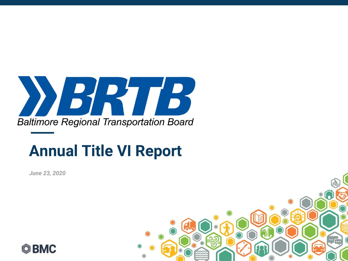

#### **Annual Title VI Report**

*June 23, 2020*



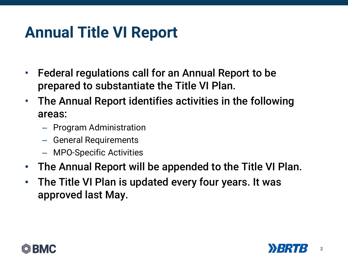#### **Annual Title VI Report**

- Federal regulations call for an Annual Report to be prepared to substantiate the Title VI Plan.
- The Annual Report identifies activities in the following areas:
	- Program Administration
	- General Requirements
	- MPO-Specific Activities
- The Annual Report will be appended to the Title VI Plan.
- The Title VI Plan is updated every four years. It was approved last May.



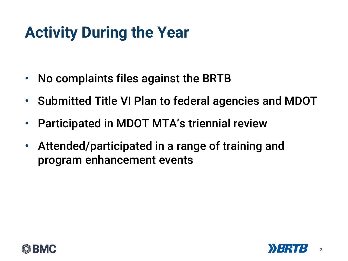## **Activity During the Year**

- No complaints files against the BRTB
- Submitted Title VI Plan to federal agencies and MDOT
- Participated in MDOT MTA's triennial review
- Attended/participated in a range of training and program enhancement events



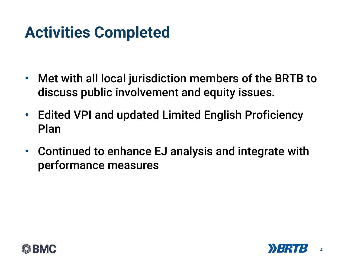## **Activities Completed**

- Met with all local jurisdiction members of the BRTB to discuss public involvement and equity issues.
- Edited VPI and updated Limited English Proficiency Plan
- Continued to enhance EJ analysis and integrate with performance measures



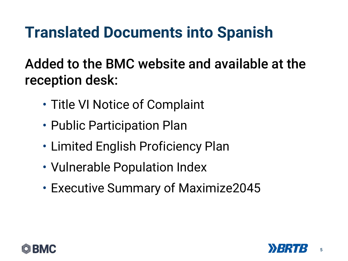### **Translated Documents into Spanish**

Added to the BMC website and available at the reception desk:

- Title VI Notice of Complaint
- Public Participation Plan
- Limited English Proficiency Plan
- Vulnerable Population Index
- Executive Summary of Maximize2045



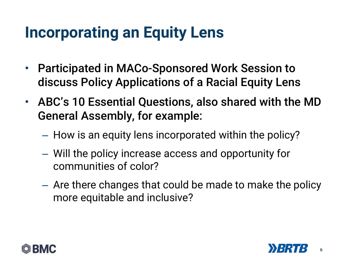#### **Incorporating an Equity Lens**

- Participated in MACo-Sponsored Work Session to discuss Policy Applications of a Racial Equity Lens
- ABC's 10 Essential Questions, also shared with the MD General Assembly, for example:
	- How is an equity lens incorporated within the policy?
	- Will the policy increase access and opportunity for communities of color?
	- Are there changes that could be made to make the policy more equitable and inclusive?